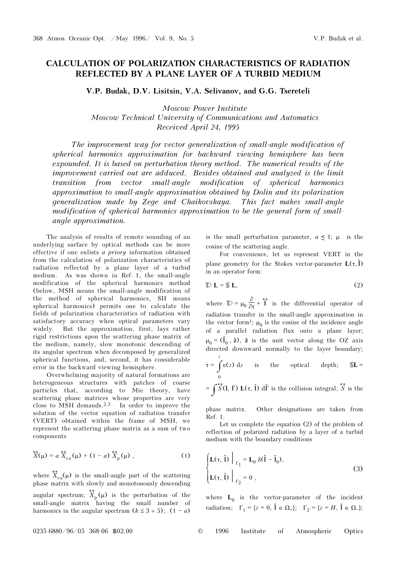## CALCULATION OF POLARIZATION CHARACTERISTICS OF RADIATION REFLECTED BY A PLANE LAYER OF A TURBID MEDIUM

V.P. Budak, D.V. Lisitsin, V.A. Selivanov, and G.G. Tsereteli

Moscow Power Institute Moscow Technical University of Communications and Automatics Received April 24, 1995

The improvement way for vector generalization of small-angle modification of spherical harmonics approximation for backward viewing hemisphere has been expounded. It is based on perturbation theory method. The numerical results of the improvement carried out are adduced. Besides obtained and analyzed is the limit transition from vector small-angle modification of spherical harmonics approximation to small-angle approximation obtained by Dolin and its polarization generalization made by Zege and Chaikovskaya. This fact makes small-angle modification of spherical harmonics approximation to be the general form of smallangle approximation.

The analysis of results of remote sounding of an underlying surface by optical methods can be more effective if one enlists a priory information obtained from the calculation of polarization characteristics of radiation reflected by a plane layer of a turbid medium. As was shown in Ref. 1, the small-angle modification of the spherical harmonics method (below, MSH means the small-angle modification of the method of spherical harmonics, SH means spherical harmonics) permits one to calculate the fields of polarization characteristics of radiation with satisfactory accuracy when optical parameters vary widely. But the approximation, first, lays rather rigid restrictions upon the scattering phase matrix of the medium, namely, slow monotonic descending of its angular spectrum when decomposed by generalized spherical functions, and, second, it has considerable error in the backward viewing hemisphere.

Overwhelming majority of natural formations are heterogeneous structures with patches of coarse particles that, according to Mie theory, have scattering phase matrices whose properties are very close to MSH demands.<sup>2,3</sup> In order to improve the solution of the vector equation of radiation transfer (VERT) obtained within the frame of MSH, we represent the scattering phase matrix as a sum of two components

$$
\widehat{X}(\mu) = a \; \widehat{X}_{sa}(\mu) + (1 - a) \; \widehat{X}_p(\mu) \; , \tag{1}
$$

where  $\hat{X}_{sa}(\mu)$  is the small-angle part of the scattering<br>phase patrix with electric and propoteneously descending phase matrix with slowly and monotonously descending angular spectrum;  $\hat{X}_p(\mu)$  is the perturbation of the small-angle matrix having the small number of harmonics in the angular spectrum  $(k \leq 3 \div 5)$ ;  $(1 - a)$ 

is the small perturbation parameter,  $a \leq 1$ ;  $\mu$  is the cosine of the scattering angle.

For convenience, let us represent VERT in the plane geometry for the Stokes vector-parameter  $L(\tau, \hat{\mathbf{l}})$ in an operator form:

$$
\mathbb{D} \mathbf{L} = \mathbb{S} \mathbf{L},\tag{2}
$$

where  $\mathbb{D} = \mu_0 \frac{\partial}{\partial \tau} + \vec{\Upsilon}$  is the differential operator of radiation transfer in the small-angle approximation in the vector form<sup>1</sup>;  $\mu_0$  is the cosine of the incidence angle of a parallel radiation flux onto a plane layer;  $\mu_0 = (\hat{\mathbf{l}}_0, \hat{\mathbf{z}}), \hat{\mathbf{z}}$  is the unit vector along the OZ axis directed downward normally to the layer boundary; z

$$
\tau = \int_{0}^{\tau} \varepsilon(z) dz
$$
 is the optical depth;  $\mathbb{S}L =$ 

$$
= \int \overleftrightarrow{S}(l, l') \mathbf{L}(\tau, \hat{l}) \, d\hat{l}' \text{ is the collision integral; } \overleftrightarrow{S} \text{ is the}
$$

phase matrix. Other designations are taken from Ref. 1.

Let us complete the equation (2) of the problem of reflection of polarized radiation by a layer of a turbid medium with the boundary conditions

$$
\begin{cases} \mathbf{L}(\tau, \hat{\mathbf{l}}) \Big|_{\Gamma_1} = \mathbf{L}_0 \, \delta(\hat{\mathbf{l}} - \hat{\mathbf{l}}_0), \\ \mathbf{L}(\tau, \hat{\mathbf{l}}) \Big|_{\Gamma_2} = 0 \end{cases}
$$
 (3)

where  $L_0$  is the vector-parameter of the incident radiation;  $\Gamma_1 = \{ z = 0, \hat{\mathbf{l}} \in \Omega_+ \}; \quad \Gamma_2 = \{ z = H, \hat{\mathbf{l}} \in \Omega_- \};$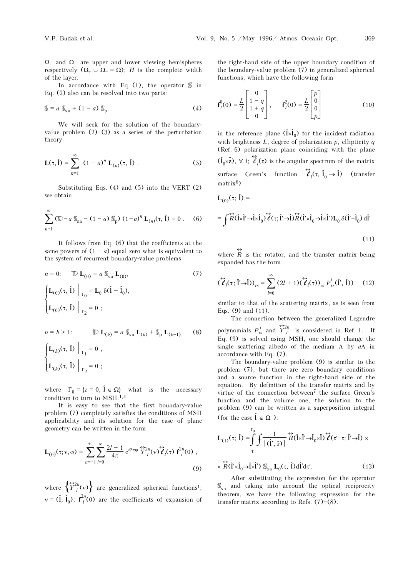$\Omega_{+}$  and  $\Omega_{-}$  are upper and lower viewing hemispheres respectively  $(\Omega_+ \cup \Omega_- = \Omega)$ ; *H* is the complete width of the layer.

In accordance with Eq. (1), the operator  $\mathcal S$  in Eq. (2) also can be resolved into two parts:

$$
\mathbb{S} = a \, \mathbb{S}_{\text{sa}} + (1 - a) \, \mathbb{S}_{\text{p}}.\tag{4}
$$

We will seek for the solution of the boundaryvalue problem  $(2)$ – $(3)$  as a series of the perturbation theory

$$
\mathbf{L}(\tau, \hat{\mathbf{l}}) = \sum_{n=1}^{\infty} (1 - a)^n \mathbf{L}_{(n)}(\tau, \hat{\mathbf{l}}) .
$$
 (5)

Substituting Eqs. (4) and (5) into the VERT (2) we obtain

$$
\sum_{n=1}^{\infty} (\mathbb{D} - a \mathbb{S}_{sa} - (1 - a) \mathbb{S}_{p}) (1 - a)^{n} \mathbf{L}_{(n)}(\tau, \hat{\mathbf{l}}) = 0.
$$
 (6)

It follows from Eq. (6) that the coefficients at the same powers of  $(1 - a)$  equal zero what is equivalent to the system of recurrent boundary-value problems

$$
n = 0: \qquad \mathbb{D} \mathbf{L}_{(0)} = a \, \mathbb{S}_{sa} \, \mathbf{L}_{(0)}, \tag{7}
$$
\n
$$
\begin{cases}\n\mathbf{L}_{(0)}(\tau, \hat{\mathbf{l}}) \Big|_{\Gamma_0} = \mathbf{L}_0 \, \delta(\hat{\mathbf{l}} - \hat{\mathbf{l}}_0), \\
\mathbf{L}_{(0)}(\tau, \hat{\mathbf{l}}) \Big|_{\Gamma_2} = 0 ;\n\end{cases}
$$
\n
$$
n = k \ge 1: \qquad \mathbb{D} \mathbf{L}_{(k)} = a \, \mathbb{S}_{sa} \, \mathbf{L}_{(k)} + \mathbb{S}_{p} \, \mathbf{L}_{(k-1)}, \tag{8}
$$
\n
$$
\begin{cases}\n\mathbf{L}_{(s)} \cdot (\tau, \hat{\mathbf{l}}) \Big|_{\Gamma_0} = 0.\n\end{cases}
$$

$$
\begin{cases}\n\mathbf{L}_{(k)}(\tau, \hat{\mathbf{l}})\Big|_{\Gamma_1} = 0, \\
\mathbf{L}_{(k)}(\tau, \hat{\mathbf{l}})\Big|_{\Gamma_2} = 0 ;\n\end{cases}
$$

where  $\Gamma_0 = \{z = 0, \hat{\mathbf{l}} \in \Omega\}$  what is the necessary condition to turn to MSH.1,4

It is easy to see that the first boundary-value problem (7) completely satisfies the conditions of MSH applicability and its solution for the case of plane geometry can be written in the form

$$
\mathbf{L}_{(0)}(\tau; \mathbf{v}, \varphi) = \sum_{n=-1}^{+1} \sum_{l=0}^{\infty} \frac{2l+1}{4\pi} e^{i2\pi\varphi} \, \widehat{\,Y}_{l}^{2n}(\mathbf{v}) \, \widehat{\,Z}_{l}(\tau) \, \mathbf{f}_{l}^{2n}(0) \,,
$$
\n(9)

where  $\left\{ \frac{\leftrightarrow_{2n}}{Y_l}(\mathbf{v}) \right\}$  are generalized spherical functions<sup>1</sup>;  $v = (1, 1<sub>0</sub>)$ ;  $f<sup>2n</sup><sub>l</sub>(0)$  are the coefficients of expansion of the right-hand side of the upper boundary condition of the boundary-value problem (7) in generalized spherical functions, which have the following form

$$
\mathbf{f}_l^0(0) = \frac{L}{2} \begin{bmatrix} 0 \\ 1 - q \\ 1 + q \\ 0 \end{bmatrix}, \qquad \mathbf{f}_l^2(0) = \frac{L}{2} \begin{bmatrix} p \\ 0 \\ 0 \\ p \end{bmatrix}
$$
(10)

in the reference plane  $(\hat{l} \times \hat{l}_0)$  for the incident radiation with brightness  $L$ , degree of polarization  $p$ , ellipticity  $q$ (Ref. 6) polarization plane coinciding with the plane  $(\hat{\mathbf{l}}_0 \times \hat{\mathbf{z}}), \forall l; \hat{\mathcal{C}}$  $<sub>l</sub>(τ)$  is the angular spectrum of the matrix</sub> surface Green's function  $\hat{\ell}$  $\hat{l}_l(\tau, \hat{l}_0 \to \hat{l})$  (transfer matrix6) L<sub>(0)</sub>(τ; Î) =

$$
= \int \overrightarrow{R}(\hat{\mathbf{l}} \times \hat{\mathbf{l}}' \to \hat{\mathbf{l}} \times \hat{\mathbf{l}}_0) \overleftrightarrow{\ell}(\tau; \hat{\mathbf{l}}' \to \hat{\mathbf{l}}) \overleftrightarrow{R}(\hat{\mathbf{l}}' \times \hat{\mathbf{l}}_0 \to \hat{\mathbf{l}} \times \hat{\mathbf{l}}') \mathbf{L}_0 \delta(\hat{\mathbf{l}}' - \hat{\mathbf{l}}_0) \, d\hat{\mathbf{l}}'
$$
\n(11)

where  $\overleftrightarrow{R}$  is the rotator, and the transfer matrix being<br>expanded besite form expanded has the form

$$
\left(\overrightarrow{\ell}_{l}(\tau;\hat{\mathbf{l}}^{\prime}\rightarrow\hat{\mathbf{l}})\right)_{rs}=\sum_{l=0}^{\infty}\left(2l+1\right)\left(\overrightarrow{\ell}_{l}(\tau)\right)_{rs}P_{rs}^{l}(\hat{\mathbf{l}}^{\prime},\hat{\mathbf{l}})\right)
$$
(12)

similar to that of the scattering matrix, as is seen from Eqs. (9) and (11).

The connection between the generalized Legendre polynomials  $P_{rs}^l$  and  $\overleftrightarrow{Y}_l^2$  is considered in Ref. 1. If Eq. (9) is solved using MSH, one should change the single scattering albedo of the medium  $\Lambda$  by  $a\Lambda$  in accordance with Eq. (7).

The boundary-value problem (9) is similar to the problem (7), but there are zero boundary conditions and a source function in the right-hand side of the equation. By definition of the transfer matrix and by virtue of the connection between7 the surface Green's function and the volume one, the solution to the problem (9) can be written as a superposition integral (for the case  $\hat{\mathbf{l}} \in \Omega_-)$ :

$$
\mathbf{L}_{(1)}(\tau; \hat{\mathbf{l}}) = \int_{\tau}^{\tau_0} \int \frac{1}{|(\hat{\mathbf{l}}', \hat{z})|} \widetilde{R}(\hat{\mathbf{l}} \times \hat{\mathbf{l}}' \to \hat{\mathbf{l}}_0 \times \hat{\mathbf{l}}) \widetilde{\mathcal{C}}(\tau' - \tau; \hat{\mathbf{l}}' \to \hat{\mathbf{l}}) \times
$$
  
 
$$
\times \widetilde{R}(\hat{\mathbf{l}}' \times \hat{\mathbf{l}}_0 \to \hat{\mathbf{l}} \times \hat{\mathbf{l}}') \mathbb{S}_{sa} \mathbf{L}_0(\tau, \hat{\mathbf{l}}) d\hat{\mathbf{l}}' d\tau'. \tag{13}
$$

After substituting the expression for the operator  $\mathcal{S}_{\text{sa}}$  and taking into account the optical reciprocity theorem, we have the following expression for the transfer matrix according to Refs.  $(7)-(8)$ .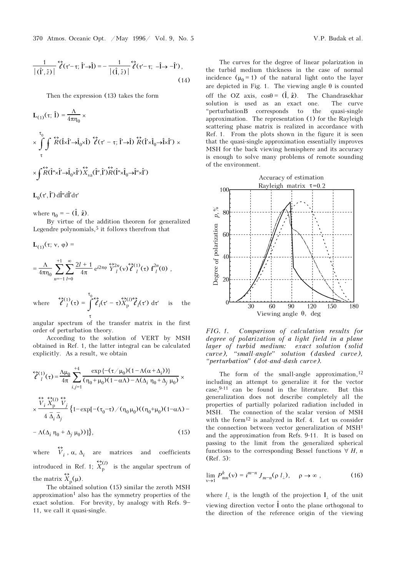Then the expression (13) takes the form

$$
L_{(1)}(\tau; \hat{l}) = \frac{\Lambda}{4\pi\eta_0} \times
$$
  

$$
\times \int_{\tau}^{\tau_0} \int_{\tau} \overleftrightarrow{R}(\hat{l} \times \hat{l}' \to \hat{l}_0 \times \hat{l}) \overleftrightarrow{\hat{l}}(\tau' - \tau; \hat{l}' \to \hat{l}) \overleftrightarrow{R}(\hat{l}' \times \hat{l}_0 \to \hat{l} \times \hat{l}') \times
$$
  

$$
\times \int_{\tau} \overleftrightarrow{R}(\hat{l}'' \times \hat{l}' \to \hat{l}_0 \times \hat{l}') \overleftrightarrow{X}_{sa}(\hat{l}'', \hat{l}') \overleftrightarrow{R}(\hat{l}'' \times \hat{l}_0 \to \hat{l}'' \times \hat{l}')
$$

**L**<sub>0</sub>(τ', Î') dÎ"dÎ'dτ'

where  $\eta_0 = -(\hat{\mathbf{l}}, \hat{\mathbf{z}})$ .

By virtue of the addition theorem for generalized Legendre polynomials,<sup>5</sup> it follows therefrom that

$$
\mathbf{L}_{(1)}(\tau; \mathbf{v}, \varphi) =
$$
\n
$$
= \frac{\Lambda}{4\pi \eta_0} \sum_{n=-1}^{+1} \sum_{l=0}^{\infty} \frac{2l+1}{4\pi} e^{i2\pi \varphi} \, \widehat{Y}_l^{2n}(\mathbf{v}) \widehat{\ell}_l^{(1)}(\tau) \, \mathbf{f}_l^{2n}(0) ,
$$

where 
$$
\overleftrightarrow{\ell}_{l}^{(1)}(\tau) = \int_{\tau}^{0} \overleftrightarrow{\ell}_{l}^{(\tau)}(\tau - \tau) \overleftrightarrow{X}_{p}^{(l)} \overleftrightarrow{\ell}_{l}^{(\tau')} d\tau' \text{ is the}
$$

angular spectrum of the transfer matrix in the first order of perturbation theory.

According to the solution of VERT by MSH obtained in Ref. 1, the latter integral can be calculated explicitly. As a result, we obtain

$$
\begin{split} &\widehat{\mathcal{E}}_{l}^{(1)}(\tau) = \frac{\Lambda \mu_0}{4\pi} \sum_{i,j=1}^{+4} \frac{\exp\left\{-\left(\tau/\mu_0\right)\left(1 - \Lambda(\alpha + \Delta_i)\right)\right\}}{(\eta_0 + \mu_0)(1 - \alpha \Lambda) - \Lambda(\Delta_i \eta_0 + \Delta_j \mu_0)} \times \\ &\times \frac{\widehat{V}_i \stackrel{\leftrightarrow}{X}_{p}^{(1)}}{4 \overline{\Delta}_i \overline{\Delta}_j} \left\{1 - \exp\left[-\left(\tau_0 - \tau\right) / (\eta_0 \mu_0\right) \left(\left(\eta_0 + \mu_0\right)(1 - \alpha \Lambda) - \pi \right] \right\} \end{split}
$$

$$
-\Lambda(\Delta_i \eta_0 + \Delta_j \mu_0))]\},\tag{15}
$$

where  $\overleftrightarrow{V}_i$ ,  $\alpha$ ,  $\Delta_i$  are matrices and coefficients introduced in Ref. 1;  $\hat{X}_{\text{p}}^{(l)}$  is the angular spectrum of the matrix  $\hat{X}_p(\mu)$ .<br>The obtained

The obtained solution (15) similar the zeroth MSH approximation1 also has the symmetry properties of the exact solution. For brevity, by analogy with Refs.  $9-$ 11, we call it quasi-single.

The curves for the degree of linear polarization in the turbid medium thickness in the case of normal incidence  $(\mu_0 = 1)$  of the natural light onto the layer are depicted in Fig. 1. The viewing angle  $\theta$  is counted off the OZ axis,  $\cos\theta = (\hat{\mathbf{l}}, \hat{\mathbf{z}})$ . The Chandrasekhar solution is used as an exact one. The curve œperturbationB corresponds to the quasi-single approximation. The representation (1) for the Rayleigh scattering phase matrix is realized in accordance with Ref. 1. From the plots shown in the figure it is seen that the quasi-single approximation essentially improves MSH for the back viewing hemisphere and its accuracy is enough to solve many problems of remote sounding of the environment.



FIG. 1. Comparison of calculation results for degree of polarization of a light field in a plane layer of turbid medium: exact solution (solid curve), "small-angle" solution (dashed curve), "perturbation" (dot-and-dash curve).

The form of the small-angle approximation,  $12$ including an attempt to generalize it for the vector case,9-11 can be found in the literature. But this generalization does not describe completely all the properties of partially polarized radiation included in MSH. The connection of the scalar version of MSH with the form12 is analyzed in Ref. 4. Let us consider the connection between vector generalization of MSH<sup>1</sup> and the approximation from Refs. 9-11. It is based on passing to the limit from the generalized spherical functions to the corresponding Bessel functions  $\forall H, n$ (Ref. 5):

$$
\lim_{v \to 1} P_{mn}^k(v) = i^{m-n} J_{m-n}(\rho l_\perp), \quad \rho \to \infty ,
$$
 (16)

where  $l_{\perp}$  is the length of the projection  $l_{\perp}$  of the unit viewing direction vector  $\hat{\mathbf{l}}$  onto the plane orthogonal to the direction of the reference origin of the viewing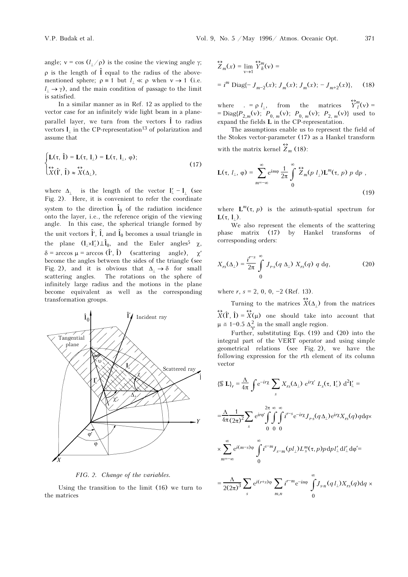angle;  $v = \cos (l_1/\rho)$  is the cosine the viewing angle  $\gamma$ ;  $\rho$  is the length of  $\hat{\mathbf{l}}$  equal to the radius of the abovementioned sphere;  $\rho \equiv 1$  but  $l_1 \ll \rho$  when  $v \rightarrow 1$  (i.e.  $l_$  →  $\gamma$ ), and the main condition of passage to the limit is satisfied.

In a similar manner as in Ref. 12 as applied to the vector case for an infinitely wide light beam in a planeparallel layer, we turn from the vectors  $\hat{\mathbf{l}}$  to radius vectors  $l_1$  in the CP-representation<sup>13</sup> of polarization and assume that

$$
\begin{cases} \mathbf{L}(\tau, \hat{\mathbf{l}}) = \mathbf{L}(\tau, \mathbf{l}_{\perp}) = \mathbf{L}(\tau, \mathbf{l}_{\perp}, \varphi); \\ \n\hat{\mathbf{X}}(\hat{\mathbf{l}}', \hat{\mathbf{l}}) \approx \hat{\mathbf{X}}(\Delta_{\perp}), \n\end{cases} \tag{17}
$$

where  $\Delta_1$  is the length of the vector  $\mathbf{l}'_1 - \mathbf{l}_1$  (see Fig. 2). Here, it is convenient to refer the coordinate system to the direction  $\hat{\mathbf{l}}_0$  of the radiation incidence onto the layer, i.e., the reference origin of the viewing angle. In this case, the spherical triangle formed by the unit vectors  $\hat{\mathbf{l}}'$ ,  $\hat{\mathbf{l}}$ , and  $\hat{\mathbf{l}}_0$  becomes a usual triangle in the plane  $(l_{\perp} \times l'_{\perp}) \perp \hat{l}_0$ , and the Euler angles<sup>5</sup>  $\chi$ ,  $\delta$  = arccos  $\mu$  = arccos (I<sup>'</sup>, I<sup>'</sup>) (scattering angle),  $\chi'$ become the angles between the sides of the triangle (see Fig. 2), and it is obvious that  $\Delta_1 \rightarrow \delta$  for small scattering angles. The rotations on the sphere of infinitely large radius and the motions in the plane become equivalent as well as the corresponding transformation groups.



FIG. 2. Change of the variables.

Using the transition to the limit (16) we turn to the matrices

$$
\begin{aligned} &\sum_{n}^{L} (x) = \lim_{v \to 1} \, \stackrel{\leftrightarrow}{Y}_{k}^{m}(v) = \\ &= i^{m} \, \text{Diag}\{-\,J_{m-2}(x); \, J_{m}(x); \, J_{m}(x); \, -\,J_{m+2}(x)\}, \end{aligned} \tag{18}
$$

where  $. = \rho l_{\perp}$ , from the matrices  $\overleftrightarrow{Y}^m_l(v) =$ = Diag{ $P_{2,m}(v)$ ;  $P_{0,m}(v)$ ;  $P_{0,m}(v)$ ;  $P_{2,m}(v)$ } used to expand the fields L in the CP-representation.

The assumptions enable us to represent the field of the Stokes vector-parameter (17) as a Hankel transform with the matrix kernel  $\hat{Z}_m$  (18):

$$
\mathbf{L}(\tau, l_{\perp}, \varphi) = \sum_{m=-\infty}^{\infty} e^{im\varphi} \frac{1}{2\pi} \int_{0}^{\infty} \overleftrightarrow{Z}_{m}(p l_{\perp}) \mathbf{L}^{m}(\tau, p) p dp ,
$$
\n(19)

where  $\mathbf{L}^m(\tau, p)$  is the azimuth-spatial spectrum for  $L(\tau, 1)$ .

We also represent the elements of the scattering phase matrix (17) by Hankel transforms of corresponding orders:

$$
X_{rs}(\Delta_\perp) = \frac{i^{r-s}}{2\pi} \int\limits_0^\infty J_{rs}(q \Delta_\perp) X_{rs}(q) q dq, \qquad (20)
$$

where  $r, s = 2, 0, 0, -2$  (Ref. 13).

Turning to the matrices  $X(\Delta)$  from the matrices  $μ \equiv 1-0.5 \Delta<sup>2</sup><sub>γ</sub>$  in the small angle region.  $\overleftrightarrow{X}(\hat{\mathbf{l}}', \hat{\mathbf{l}}) = \overleftrightarrow{X}(\mu)$  one should take into account that

 Further, substituting Eqs. (19) and (20) into the integral part of the VERT operator and using simple geometrical relations (see Fig. 2), we have the following expression for the rth element of its column vector

$$
\{\mathbb{S} \mathbf{L}\}_r = \frac{\Lambda}{4\pi} \int e^{-ir\chi} \sum_s X_{rs} (\Delta_\perp) e^{ir\chi'} L_s(\tau, \mathbf{I}'_\perp) d^2 \mathbf{I}'_\perp =
$$
  
\n
$$
= \frac{\Lambda}{4\pi} \frac{1}{(2\pi)^2} \sum_s e^{ir\varphi'} \int \int \int \int t^{r-s} e^{-ir\chi} J_{rs}(q \Delta_\perp) e^{ir\chi} X_{rs}(q) q dq \times
$$
  
\n
$$
\times \sum_{m=-\infty}^{\infty} e^{i(m-s)\varphi} \int \int t^{s-m} J_{s-m}(p l_\perp) L_s^m(\tau, p) p dp l'_\perp d l'_\perp d\varphi' =
$$
  
\n
$$
= \frac{\Lambda}{2(2\pi)^3} \sum_s e^{i(r+s)\varphi} \sum_{m,n} i^{r-m} e^{-in\varphi} \int \int \int s_n(q l_\perp) X_{rs}(q) dq \times
$$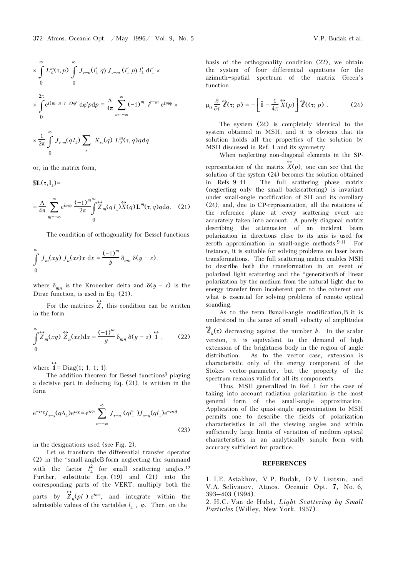$$
\times \int_{0}^{\infty} L_s^m(\tau, p) \int_{0}^{\infty} J_{r-n}(l'_\perp q) J_{s-m}(l'_\perp p) l'_\perp dl'_\perp \times
$$
  

$$
\times \int_{0}^{2\pi} e^{i(m+n-r-s)\varphi'} d\varphi' p dp = \frac{\Lambda}{4\pi} \sum_{m=-\infty}^{\infty} (-1)^m i^{r-m} e^{im\varphi} \times
$$
  

$$
\times \frac{1}{2\pi} \int_{0}^{\infty} J_{r-m}(q l'_\perp) \sum_{s} X_{rs}(q) L_s^m(\tau, q) q dq
$$

or, in the matrix form,

 $SL(\tau,1)$ =

$$
= \frac{\Lambda}{4\pi} \sum_{m=-\infty}^{\infty} e^{im\varphi} \frac{(-1)^m}{2\pi} \int_{0}^{\infty} \overleftrightarrow{Z}_m(q l_{\perp}) \overleftrightarrow{X}(q) \mathbf{L}^m(\tau, q) q dq. \quad (21)
$$

The condition of orthogonality for Bessel functions

$$
\int_{0}^{\infty} J_m(xy) J_n(xz) x \, dx = \frac{(-1)^m}{y} \delta_{mn} \delta(y - z),
$$

where  $\delta_{mn}$  is the Kronecker delta and  $\delta(y-x)$  is the Dirac function, is used in Eq.  $(21)$ .

For the matrices  $\overleftrightarrow{Z}$ , this condition can be written in the form

$$
\int_{0}^{\infty} \hat{Z}_m(xy) \stackrel{\leftrightarrow}{Z}_n(xz) dx = \frac{(-1)^m}{y} \delta_{mn} \delta(y-z) \stackrel{\leftrightarrow}{\mathbf{1}}, \qquad (22)
$$

where  $\overleftrightarrow{\mathbf{1}}$  = Diag{1; 1; 1; 1}.

The addition theorem for Bessel functions<sup>5</sup> playing a decisive part in deducing Eq. (21), is written in the form

$$
e^{-ir\chi}J_{r-s}(q\Delta_{\perp})e^{is\chi} = e^{ir\vartheta} \sum_{n=-\infty}^{\infty} J_{r-n}(ql'_{\perp})J_{s-n}(ql_{\perp})e^{-in\vartheta}
$$
\n(23)

in the designations used (see Fig. 2).

Let us transform the differential transfer operator (2) in the "small-angleB form neglecting the summand with the factor  $l_{\perp}^{2}$  for small scattering angles.<sup>12</sup><br>Eurther substitute Eqs. (10) and (21) into the Further, substitute Eqs. (19) and (21) into the corresponding parts of the VERT, multiply both the parts by  $\overleftrightarrow{Z}_n(p_l)$  e<sup>in $\varphi$ </sup>, and integrate within the admissible values of the variables  $l_+$ ,  $\varphi$ . Then, on the

basis of the orthogonality condition (22), we obtain the system of four differential equations for the azimuth-spatial spectrum of the matrix Green's function

$$
\mu_0 \frac{\partial}{\partial \tau} \widehat{\mathbf{Z}}(\tau; p) = -\left[\hat{\mathbf{1}} - \frac{1}{4\pi} \widehat{X}(p)\right] \widehat{\mathbf{Z}}((\tau; p) . \tag{24}
$$

The system (24) is completely identical to the system obtained in MSH, and it is obvious that its solution holds all the properties of the solution by MSH discussed in Ref. 1 and its symmetry.

When neglecting non-diagonal elements in the SP-

representation of the matrix  $\overleftrightarrow{X}(p)$ , one can see that the solution of the system (24) becomes the solution obtained solution of the system (24) becomes the solution obtained in Refs. 9-11. The full scattering phase matrix (neglecting only the small backscattering) is invariant under small-angle modification of SH and its corollary (24), and, due to CP-representation, all the rotations of the reference plane at every scattering event are accurately taken into account. A purely diagonal matrix describing the attenuation of an incident beam polarization in directions close to its axis is used for zeroth approximation in small-angle methods.<sup>9-11</sup> For instance, it is suitable for solving problems on laser beam transformations. The full scattering matrix enables MSH to describe both the transformation in an event of polarized light scattering and the "generationB of linear polarization by the medium from the natural light due to energy transfer from incoherent part to the coherent one what is essential for solving problems of remote optical sounding.

As to the term Bsmall-angle modification,B it is understood in the sense of small velocity of amplitudes  $\hat{\mathcal{C}}_k(\tau)$  decreasing against the number k. In the scalar version, it is equivalent to the demand of high extension of the brightness body in the region of angle distribution. As to the vector case, extension is characteristic only of the energy component of the Stokes vector-parameter, but the property of the spectrum remains valid for all its components.

Thus, MSH generalized in Ref. 1 for the case of taking into account radiation polarization is the most general form of the small-angle approximation. Application of the quasi-single approximation to MSH permits one to describe the fields of polarization characteristics in all the viewing angles and within sufficiently large limits of variation of medium optical characteristics in an analytically simple form with accuracy sufficient for practice.

## **REFERENCES**

1. I.E. Astakhov, V.P. Budak, D.V. Lisitsin, and V.A. Selivanov, Atmos. Oceanic Opt. 7, No. 6, 393–403 (1994).

2. H.C. Van de Hulst, Light Scattering by Small Particles (Willey, New York, 1957).